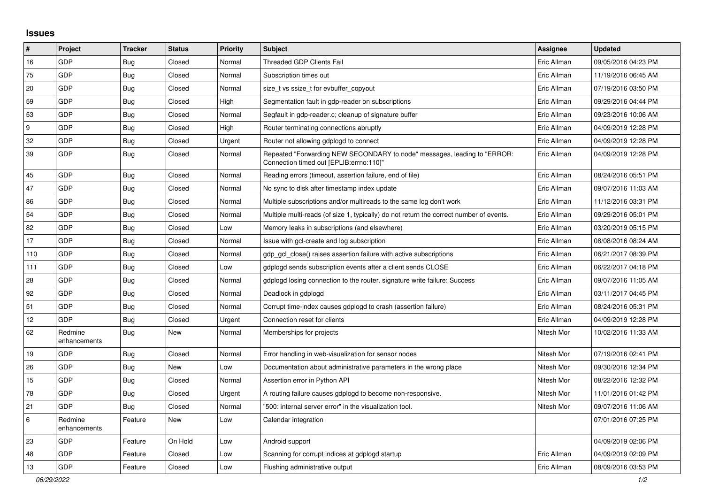## **Issues**

| $\#$    | Project                 | <b>Tracker</b> | <b>Status</b> | <b>Priority</b> | <b>Subject</b>                                                                                                      | Assignee    | <b>Updated</b>      |
|---------|-------------------------|----------------|---------------|-----------------|---------------------------------------------------------------------------------------------------------------------|-------------|---------------------|
| 16      | GDP                     | <b>Bug</b>     | Closed        | Normal          | Threaded GDP Clients Fail                                                                                           | Eric Allman | 09/05/2016 04:23 PM |
| 75      | GDP                     | Bug            | Closed        | Normal          | Subscription times out                                                                                              | Eric Allman | 11/19/2016 06:45 AM |
| 20      | GDP                     | <b>Bug</b>     | Closed        | Normal          | size_t vs ssize_t for evbuffer_copyout                                                                              | Eric Allman | 07/19/2016 03:50 PM |
| 59      | <b>GDP</b>              | <b>Bug</b>     | Closed        | High            | Segmentation fault in gdp-reader on subscriptions                                                                   | Eric Allman | 09/29/2016 04:44 PM |
| 53      | GDP                     | Bug            | Closed        | Normal          | Segfault in gdp-reader.c; cleanup of signature buffer                                                               | Eric Allman | 09/23/2016 10:06 AM |
| 9       | GDP                     | <b>Bug</b>     | Closed        | High            | Router terminating connections abruptly                                                                             | Eric Allman | 04/09/2019 12:28 PM |
| 32      | GDP                     | <b>Bug</b>     | Closed        | Urgent          | Router not allowing gdplogd to connect                                                                              | Eric Allman | 04/09/2019 12:28 PM |
| 39      | <b>GDP</b>              | Bug            | Closed        | Normal          | Repeated "Forwarding NEW SECONDARY to node" messages, leading to "ERROR:<br>Connection timed out [EPLIB:errno:110]" | Eric Allman | 04/09/2019 12:28 PM |
| 45      | GDP                     | Bug            | Closed        | Normal          | Reading errors (timeout, assertion failure, end of file)                                                            | Eric Allman | 08/24/2016 05:51 PM |
| 47      | <b>GDP</b>              | <b>Bug</b>     | Closed        | Normal          | No sync to disk after timestamp index update                                                                        | Eric Allman | 09/07/2016 11:03 AM |
| 86      | GDP                     | Bug            | Closed        | Normal          | Multiple subscriptions and/or multireads to the same log don't work                                                 | Eric Allman | 11/12/2016 03:31 PM |
| 54      | GDP                     | <b>Bug</b>     | Closed        | Normal          | Multiple multi-reads (of size 1, typically) do not return the correct number of events.                             | Eric Allman | 09/29/2016 05:01 PM |
| 82      | GDP                     | Bug            | Closed        | Low             | Memory leaks in subscriptions (and elsewhere)                                                                       | Eric Allman | 03/20/2019 05:15 PM |
| 17      | GDP                     | <b>Bug</b>     | Closed        | Normal          | Issue with gcl-create and log subscription                                                                          | Eric Allman | 08/08/2016 08:24 AM |
| 110     | GDP                     | <b>Bug</b>     | Closed        | Normal          | gdp gcl close() raises assertion failure with active subscriptions                                                  | Eric Allman | 06/21/2017 08:39 PM |
| 111     | GDP                     | <b>Bug</b>     | Closed        | Low             | gdplogd sends subscription events after a client sends CLOSE                                                        | Eric Allman | 06/22/2017 04:18 PM |
| 28      | GDP                     | Bug            | Closed        | Normal          | gdplogd losing connection to the router, signature write failure: Success                                           | Eric Allman | 09/07/2016 11:05 AM |
| 92      | GDP                     | <b>Bug</b>     | Closed        | Normal          | Deadlock in gdplogd                                                                                                 | Eric Allman | 03/11/2017 04:45 PM |
| 51      | <b>GDP</b>              | Bug            | Closed        | Normal          | Corrupt time-index causes gdplogd to crash (assertion failure)                                                      | Eric Allman | 08/24/2016 05:31 PM |
| 12      | GDP                     | <b>Bug</b>     | Closed        | Urgent          | Connection reset for clients                                                                                        | Eric Allman | 04/09/2019 12:28 PM |
| 62      | Redmine<br>enhancements | <b>Bug</b>     | <b>New</b>    | Normal          | Memberships for projects                                                                                            | Nitesh Mor  | 10/02/2016 11:33 AM |
| 19      | GDP                     | Bug            | Closed        | Normal          | Error handling in web-visualization for sensor nodes                                                                | Nitesh Mor  | 07/19/2016 02:41 PM |
| 26      | <b>GDP</b>              | <b>Bug</b>     | New           | Low             | Documentation about administrative parameters in the wrong place                                                    | Nitesh Mor  | 09/30/2016 12:34 PM |
| 15      | GDP                     | <b>Bug</b>     | Closed        | Normal          | Assertion error in Python API                                                                                       | Nitesh Mor  | 08/22/2016 12:32 PM |
| 78      | GDP                     | <b>Bug</b>     | Closed        | Urgent          | A routing failure causes gdplogd to become non-responsive.                                                          | Nitesh Mor  | 11/01/2016 01:42 PM |
| 21      | GDP                     | Bug            | Closed        | Normal          | "500: internal server error" in the visualization tool.                                                             | Nitesh Mor  | 09/07/2016 11:06 AM |
| $\,6\,$ | Redmine<br>enhancements | Feature        | New           | Low             | Calendar integration                                                                                                |             | 07/01/2016 07:25 PM |
| 23      | GDP                     | Feature        | On Hold       | Low             | Android support                                                                                                     |             | 04/09/2019 02:06 PM |
| 48      | <b>GDP</b>              | Feature        | Closed        | Low             | Scanning for corrupt indices at gdplogd startup                                                                     | Eric Allman | 04/09/2019 02:09 PM |
| 13      | GDP                     | Feature        | Closed        | Low             | Flushing administrative output                                                                                      | Eric Allman | 08/09/2016 03:53 PM |